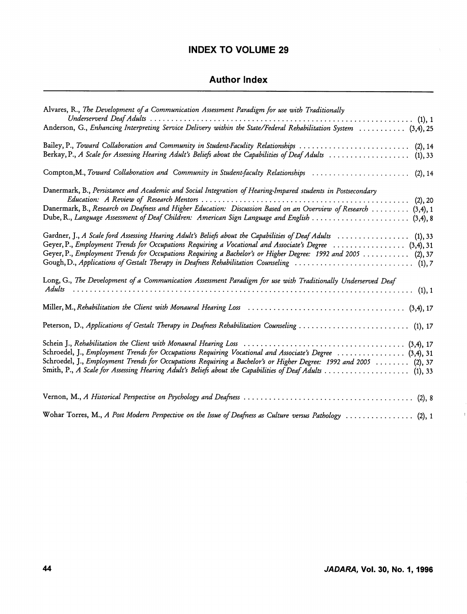## INDEX TO VOLUME 29

## Author Index

| Alvares, R., The Development of a Communication Assessment Paradigm for use with Traditionally                                                                                                                                                                                                                                         |
|----------------------------------------------------------------------------------------------------------------------------------------------------------------------------------------------------------------------------------------------------------------------------------------------------------------------------------------|
| Anderson, G., Enhancing Interpreting Service Delivery within the State/Federal Rehabilitation System  (3,4), 25                                                                                                                                                                                                                        |
| Bailey, P., Toward Collaboration and Community in Student-Faculity Relationships  (2), 14<br>Berkay, P., A Scale for Assessing Hearing Adult's Beliefs about the Capabilities of Deaf Adults  (1), 33                                                                                                                                  |
| Compton, M., Toward Collaboration and Community in Student-faculty Relationships  (2), 14                                                                                                                                                                                                                                              |
| Danermark, B., Persistance and Academic and Social Integration of Hearing-Impared students in Postsecondary<br>Danermark, B., Research on Deafness and Higher Education: Discussion Based on an Overview of Research  (3,4), 1<br>Dube, R., Language Assessment of Deaf Children: American Sign Language and English  (3,4), 8         |
| Gardner, J., A Scale ford Assessing Hearing Adult's Beliefs about the Capabilities of Deaf Adults  (1), 33<br>Geyer, P., Employment Trends for Occupations Requiring a Vocational and Associate's Degree  (3,4), 31<br>Geyer, P., Employment Trends for Occupations Requiring a Bachelor's or Higher Degree: 1992 and 2005  (2), 37    |
| Long, G., The Development of a Communication Assessment Paradigm for use with Traditionally Underserved Deaf                                                                                                                                                                                                                           |
|                                                                                                                                                                                                                                                                                                                                        |
| Peterson, D., Applications of Gestalt Therapy in Deafness Rehabilitation Counseling  (1), 17                                                                                                                                                                                                                                           |
| Schroedel, J., Employment Trends for Occupations Requiring Vocational and Associate's Degree  (3,4), 31<br>Schroedel, J., Employment Trends for Occupations Requiring a Bachelor's or Higher Degree: 1992 and 2005  (2), 37<br>Smith, P., A Scale for Assessing Hearing Adult's Beliefs about the Capabilities of Deaf Adults  (1), 33 |
|                                                                                                                                                                                                                                                                                                                                        |
| Wohar Torres, M., A Post Modern Perspective on the Issue of Deafness as Culture versus Pathology  (2), 1                                                                                                                                                                                                                               |

J.